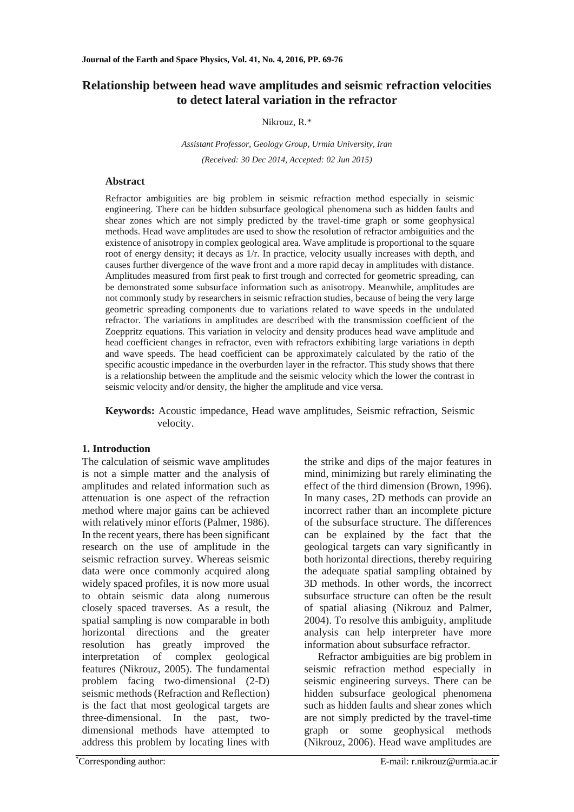# **Relationship between head wave amplitudes and seismic refraction velocities to detect lateral variation in the refractor**

## Nikrouz, R.\*

*Assistant Professor, Geology Group, Urmia University, Iran (Received: 30 Dec 2014, Accepted: 02 Jun 2015)*

# **Abstract**

Refractor ambiguities are big problem in seismic refraction method especially in seismic engineering. There can be hidden subsurface geological phenomena such as hidden faults and shear zones which are not simply predicted by the travel-time graph or some geophysical methods. Head wave amplitudes are used to show the resolution of refractor ambiguities and the existence of anisotropy in complex geological area. Wave amplitude is proportional to the square root of energy density; it decays as 1/r. In practice, velocity usually increases with depth, and causes further divergence of the wave front and a more rapid decay in amplitudes with distance. Amplitudes measured from first peak to first trough and corrected for geometric spreading, can be demonstrated some subsurface information such as anisotropy. Meanwhile, amplitudes are not commonly study by researchers in seismic refraction studies, because of being the very large geometric spreading components due to variations related to wave speeds in the undulated refractor. The variations in amplitudes are described with the transmission coefficient of the Zoeppritz equations. This variation in velocity and density produces head wave amplitude and head coefficient changes in refractor, even with refractors exhibiting large variations in depth and wave speeds. The head coefficient can be approximately calculated by the ratio of the specific acoustic impedance in the overburden layer in the refractor. This study shows that there is a relationship between the amplitude and the seismic velocity which the lower the contrast in seismic velocity and/or density, the higher the amplitude and vice versa.

**Keywords:** Acoustic impedance, Head wave amplitudes, Seismic refraction, Seismic velocity.

# **1. Introduction**

The calculation of seismic wave amplitudes is not a simple matter and the analysis of amplitudes and related information such as attenuation is one aspect of the refraction method where major gains can be achieved with relatively minor efforts (Palmer, 1986). In the recent years, there has been significant research on the use of amplitude in the seismic refraction survey. Whereas seismic data were once commonly acquired along widely spaced profiles, it is now more usual to obtain seismic data along numerous closely spaced traverses. As a result, the spatial sampling is now comparable in both horizontal directions and the greater resolution has greatly improved the interpretation of complex geological features (Nikrouz, 2005). The fundamental problem facing two-dimensional (2-D) seismic methods (Refraction and Reflection) is the fact that most geological targets are three-dimensional. In the past, twodimensional methods have attempted to address this problem by locating lines with

the strike and dips of the major features in mind, minimizing but rarely eliminating the effect of the third dimension (Brown, 1996). In many cases, 2D methods can provide an incorrect rather than an incomplete picture of the subsurface structure. The differences can be explained by the fact that the geological targets can vary significantly in both horizontal directions, thereby requiring the adequate spatial sampling obtained by 3D methods. In other words, the incorrect subsurface structure can often be the result of spatial aliasing (Nikrouz and Palmer, 2004). To resolve this ambiguity, amplitude analysis can help interpreter have more information about subsurface refractor.

Refractor ambiguities are big problem in seismic refraction method especially in seismic engineering surveys. There can be hidden subsurface geological phenomena such as hidden faults and shear zones which are not simply predicted by the travel-time graph or some geophysical methods (Nikrouz, 2006). Head wave amplitudes are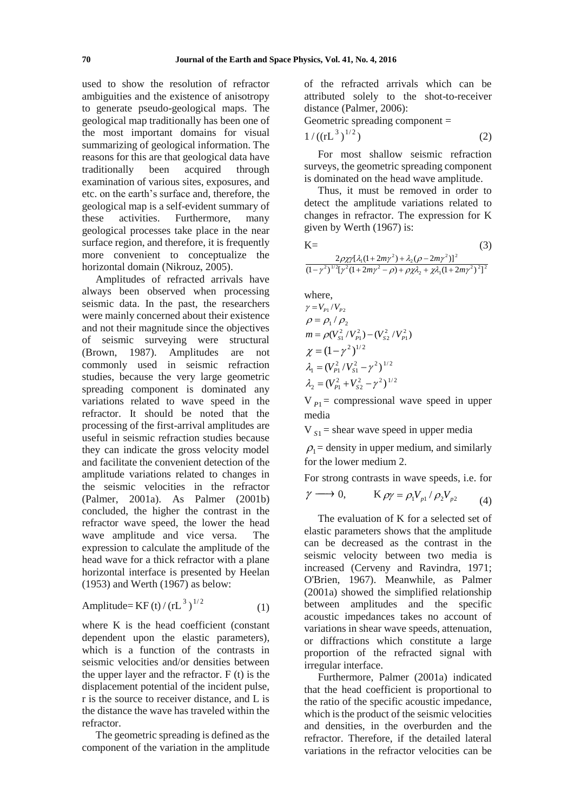used to show the resolution of refractor ambiguities and the existence of anisotropy to generate pseudo-geological maps. The geological map traditionally has been one of the most important domains for visual summarizing of geological information. The reasons for this are that geological data have<br>traditionally been acquired through traditionally been acquired through examination of various sites, exposures, and etc. on the earth's surface and, therefore, the geological map is a self-evident summary of these activities. Furthermore, many geological processes take place in the near surface region, and therefore, it is frequently more convenient to conceptualize the horizontal domain (Nikrouz, 2005).

Amplitudes of refracted arrivals have always been observed when processing seismic data. In the past, the researchers were mainly concerned about their existence and not their magnitude since the objectives of seismic surveying were structural (Brown, 1987). Amplitudes are not commonly used in seismic refraction studies, because the very large geometric spreading component is dominated any variations related to wave speed in the refractor. It should be noted that the processing of the first-arrival amplitudes are useful in seismic refraction studies because they can indicate the gross velocity model and facilitate the convenient detection of the amplitude variations related to changes in the seismic velocities in the refractor (Palmer, 2001a). As Palmer (2001b) concluded, the higher the contrast in the refractor wave speed, the lower the head wave amplitude and vice versa. The expression to calculate the amplitude of the head wave for a thick refractor with a plane horizontal interface is presented by Heelan (1953) and Werth (1967) as below:

Amplitude= KF (t) / (rL 3 ) 1/ 2 (1)

where K is the head coefficient (constant dependent upon the elastic parameters), which is a function of the contrasts in seismic velocities and/or densities between the upper layer and the refractor. F (t) is the displacement potential of the incident pulse, r is the source to receiver distance, and L is the distance the wave has traveled within the refractor.

The geometric spreading is defined as the component of the variation in the amplitude of the refracted arrivals which can be attributed solely to the shot-to-receiver distance (Palmer, 2006):

Geometric spreading component =

$$
1/((rL^3)^{1/2})
$$
 (2)

For most shallow seismic refraction surveys, the geometric spreading component is dominated on the head wave amplitude.

Thus, it must be removed in order to detect the amplitude variations related to changes in refractor. The expression for K given by Werth (1967) is:

| $K =$ |                                                                         | (3) |
|-------|-------------------------------------------------------------------------|-----|
|       | $2\rho\chi\gamma[\lambda_1(1+2m\gamma^2)+\lambda_2(\rho-2m\gamma^2)]^2$ |     |

$$
\frac{2\mu\lambda\left[\nu_{1}(1+2m\gamma^{2})+\nu_{2}\sqrt{\nu^{2}-2m\gamma^{2}}\right]}{(1-\gamma^{2})^{1/2}[\gamma^{2}(1+2m\gamma^{2}-\rho)+\rho\chi\lambda_{2}+\chi\lambda_{1}(1+2m\gamma^{2})^{2}]^{2}}
$$

where,  
\n
$$
\gamma = V_{P1}/V_{P2}
$$
\n
$$
\rho = \rho_1 / \rho_2
$$
\n
$$
m = \rho (V_{S1}^2 / V_{P1}^2) - (V_{S2}^2 / V_{P1}^2)
$$
\n
$$
\chi = (1 - \gamma^2)^{1/2}
$$
\n
$$
\lambda_1 = (V_{P1}^2 / V_{S1}^2 - \gamma^2)^{1/2}
$$
\n
$$
\lambda_2 = (V_{P1}^2 + V_{S2}^2 - \gamma^2)^{1/2}
$$

 $V_{P1}$  = compressional wave speed in upper media

 $V_{s1}$  = shear wave speed in upper media

 $\rho_1$  = density in upper medium, and similarly for the lower medium 2.

For strong contrasts in wave speeds, i.e. for

$$
\gamma \longrightarrow 0, \qquad K \rho \gamma = \rho_1 V_{p1} / \rho_2 V_{p2} \qquad (4)
$$

The evaluation of K for a selected set of elastic parameters shows that the amplitude can be decreased as the contrast in the seismic velocity between two media is increased (Cerveny and Ravindra, 1971; O'Brien, 1967). Meanwhile, as Palmer (2001a) showed the simplified relationship between amplitudes and the specific acoustic impedances takes no account of variations in shear wave speeds, attenuation, or diffractions which constitute a large proportion of the refracted signal with irregular interface.

Furthermore, Palmer (2001a) indicated that the head coefficient is proportional to the ratio of the specific acoustic impedance, which is the product of the seismic velocities and densities, in the overburden and the refractor. Therefore, if the detailed lateral variations in the refractor velocities can be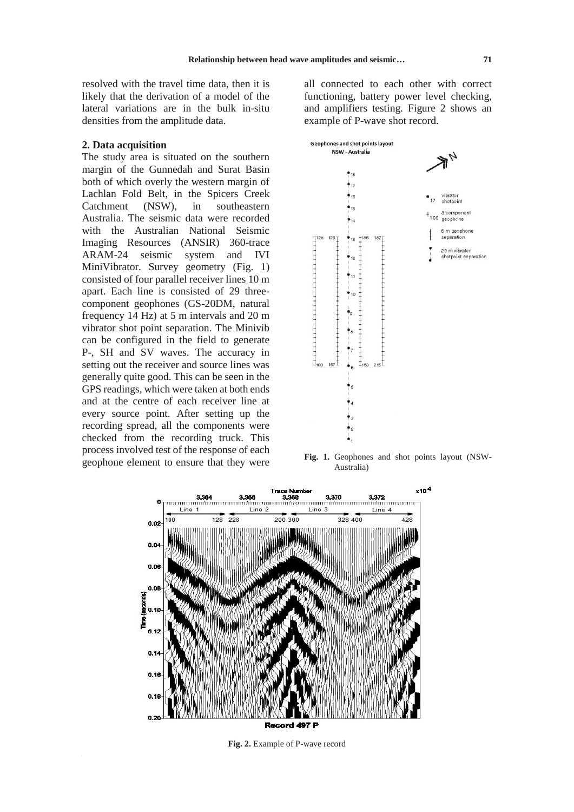resolved with the travel time data, then it is likely that the derivation of a model of the lateral variations are in the bulk in-situ densities from the amplitude data.

## **2. Data acquisition**

The study area is situated on the southern margin of the Gunnedah and Surat Basin both of which overly the western margin of Lachlan Fold Belt, in the Spicers Creek Catchment (NSW), in southeastern Australia. The seismic data were recorded with the Australian National Seismic Imaging Resources (ANSIR) 360-trace ARAM-24 seismic system and IVI MiniVibrator. Survey geometry (Fig. 1) consisted of four parallel receiver lines 10 m apart. Each line is consisted of 29 threecomponent geophones (GS-20DM, natural frequency 14 Hz) at 5 m intervals and 20 m vibrator shot point separation. The Minivib can be configured in the field to generate P-, SH and SV waves. The accuracy in setting out the receiver and source lines was generally quite good. This can be seen in the GPS readings, which were taken at both ends and at the centre of each receiver line at every source point. After setting up the recording spread, all the components were checked from the recording truck. This process involved test of the response of each geophone element to ensure that they were all connected to each other with correct functioning, battery power level checking, and amplifiers testing. Figure 2 shows an example of P-wave shot record.



**Fig. 1.** Geophones and shot points layout (NSW-Australia)



**Fig. 2.** Example of P-wave record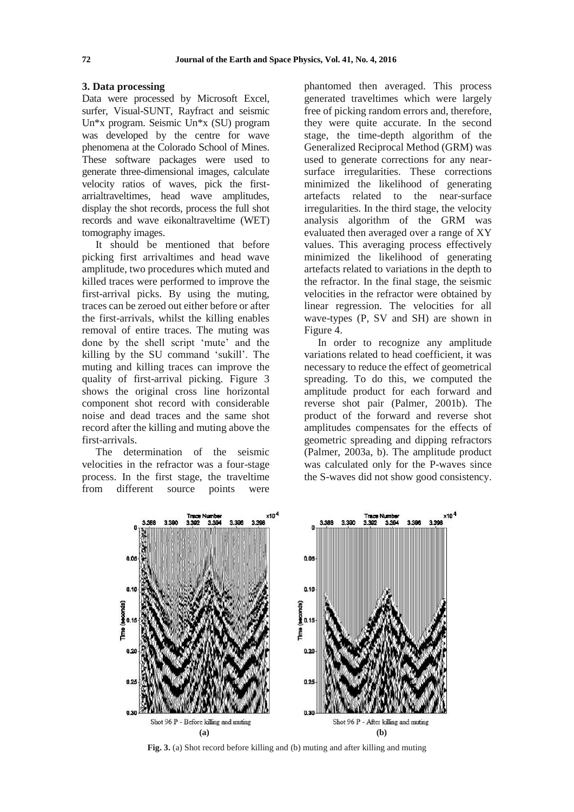# **3. Data processing**

Data were processed by Microsoft Excel, surfer, Visual-SUNT, Rayfract and seismic Un\*x program. Seismic Un\*x (SU) program was developed by the centre for wave phenomena at the Colorado School of Mines. These software packages were used to generate three-dimensional images, calculate velocity ratios of waves, pick the firstarrialtraveltimes, head wave amplitudes, display the shot records, process the full shot records and wave eikonaltraveltime (WET) tomography images.

It should be mentioned that before picking first arrivaltimes and head wave amplitude, two procedures which muted and killed traces were performed to improve the first-arrival picks. By using the muting, traces can be zeroed out either before or after the first-arrivals, whilst the killing enables removal of entire traces. The muting was done by the shell script 'mute' and the killing by the SU command 'sukill'. The muting and killing traces can improve the quality of first-arrival picking. Figure 3 shows the original cross line horizontal component shot record with considerable noise and dead traces and the same shot record after the killing and muting above the first-arrivals.

The determination of the seismic velocities in the refractor was a four-stage process. In the first stage, the traveltime from different source points were

phantomed then averaged. This process generated traveltimes which were largely free of picking random errors and, therefore, they were quite accurate. In the second stage, the time-depth algorithm of the Generalized Reciprocal Method (GRM) was used to generate corrections for any nearsurface irregularities. These corrections minimized the likelihood of generating artefacts related to the near-surface irregularities. In the third stage, the velocity analysis algorithm of the GRM was evaluated then averaged over a range of XY values. This averaging process effectively minimized the likelihood of generating artefacts related to variations in the depth to the refractor. In the final stage, the seismic velocities in the refractor were obtained by linear regression. The velocities for all wave-types (P, SV and SH) are shown in Figure 4.

In order to recognize any amplitude variations related to head coefficient, it was necessary to reduce the effect of geometrical spreading. To do this, we computed the amplitude product for each forward and reverse shot pair (Palmer, 2001b). The product of the forward and reverse shot amplitudes compensates for the effects of geometric spreading and dipping refractors (Palmer, 2003a, b). The amplitude product was calculated only for the P-waves since the S-waves did not show good consistency.



**Fig. 3.** (a) Shot record before killing and (b) muting and after killing and muting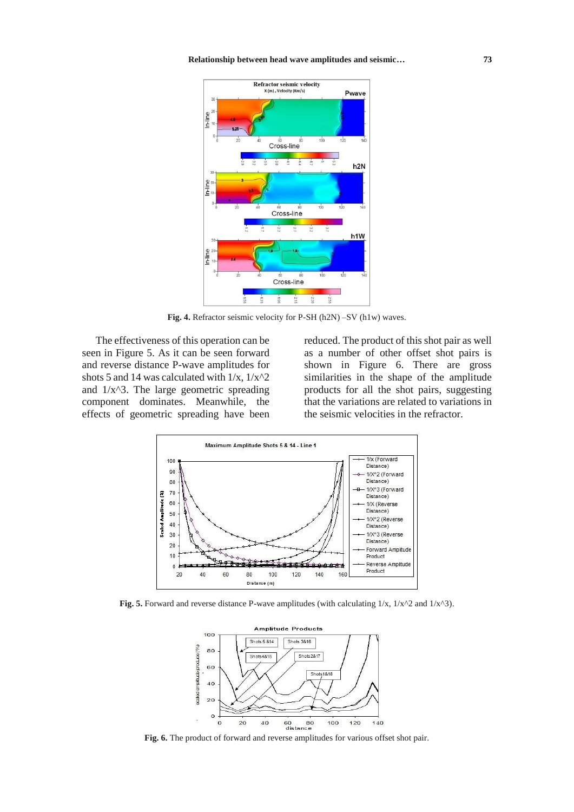

**Fig. 4.** Refractor seismic velocity for P-SH (h2N) –SV (h1w) waves.

The effectiveness of this operation can be seen in Figure 5. As it can be seen forward and reverse distance P-wave amplitudes for shots 5 and 14 was calculated with  $1/x$ ,  $1/x^2$ and  $1/x^3$ . The large geometric spreading component dominates. Meanwhile, the effects of geometric spreading have been

reduced. The product of this shot pair as well as a number of other offset shot pairs is shown in Figure 6. There are gross similarities in the shape of the amplitude products for all the shot pairs, suggesting that the variations are related to variations in the seismic velocities in the refractor.



**Fig. 5.** Forward and reverse distance P-wave amplitudes (with calculating 1/x, 1/x^2 and 1/x^3).



**Fig. 6.** The product of forward and reverse amplitudes for various offset shot pair.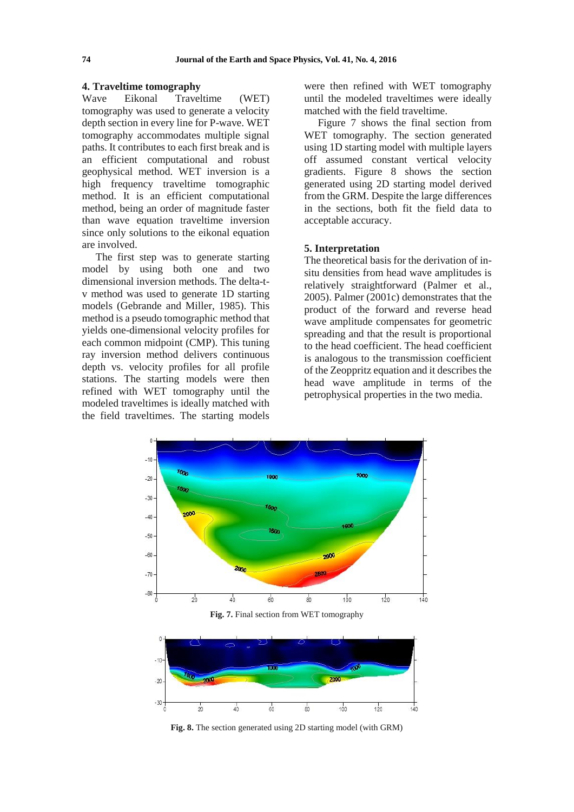#### **4. Traveltime tomography**

Wave Eikonal Traveltime (WET) tomography was used to generate a velocity depth section in every line for P-wave. WET tomography accommodates multiple signal paths. It contributes to each first break and is an efficient computational and robust geophysical method. WET inversion is a high frequency traveltime tomographic method. It is an efficient computational method, being an order of magnitude faster than wave equation traveltime inversion since only solutions to the eikonal equation are involved.

The first step was to generate starting model by using both one and two dimensional inversion methods. The delta-tv method was used to generate 1D starting models (Gebrande and Miller, 1985). This method is a pseudo tomographic method that yields one-dimensional velocity profiles for each common midpoint (CMP). This tuning ray inversion method delivers continuous depth vs. velocity profiles for all profile stations. The starting models were then refined with WET tomography until the modeled traveltimes is ideally matched with the field traveltimes. The starting models

 $-30 -$ 

 $\frac{1}{20}$ 

 $\frac{1}{40}$ 

were then refined with WET tomography until the modeled traveltimes were ideally matched with the field traveltime.

Figure 7 shows the final section from WET tomography. The section generated using 1D starting model with multiple layers off assumed constant vertical velocity gradients. Figure 8 shows the section generated using 2D starting model derived from the GRM. Despite the large differences in the sections, both fit the field data to acceptable accuracy.

# **5. Interpretation**

The theoretical basis for the derivation of insitu densities from head wave amplitudes is relatively straightforward (Palmer et al., 2005). Palmer (2001c) demonstrates that the product of the forward and reverse head wave amplitude compensates for geometric spreading and that the result is proportional to the head coefficient. The head coefficient is analogous to the transmission coefficient of the Zeoppritz equation and it describes the head wave amplitude in terms of the petrophysical properties in the two media.



**Fig. 8.** The section generated using 2D starting model (with GRM)

 $\frac{1}{80}$ 

 $100$ 

 $120$ 

 $140$ 

 $50^{\circ}$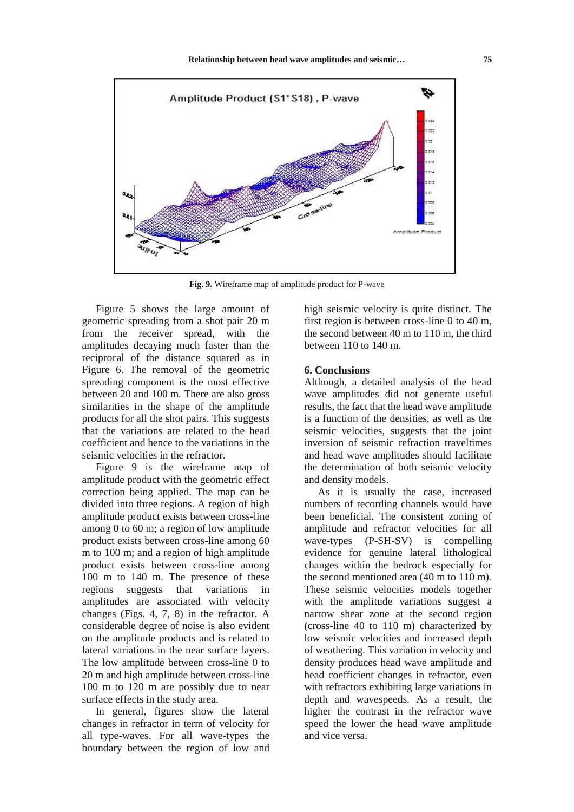

**Fig. 9.** Wireframe map of amplitude product for P-wave

Figure 5 shows the large amount of geometric spreading from a shot pair 20 m from the receiver spread, with the amplitudes decaying much faster than the reciprocal of the distance squared as in Figure 6. The removal of the geometric spreading component is the most effective between 20 and 100 m. There are also gross similarities in the shape of the amplitude products for all the shot pairs. This suggests that the variations are related to the head coefficient and hence to the variations in the seismic velocities in the refractor.

Figure 9 is the wireframe map of amplitude product with the geometric effect correction being applied. The map can be divided into three regions. A region of high amplitude product exists between cross-line among 0 to 60 m; a region of low amplitude product exists between cross-line among 60 m to 100 m; and a region of high amplitude product exists between cross-line among 100 m to 140 m. The presence of these regions suggests that variations in amplitudes are associated with velocity changes (Figs. 4, 7, 8) in the refractor. A considerable degree of noise is also evident on the amplitude products and is related to lateral variations in the near surface layers. The low amplitude between cross-line 0 to 20 m and high amplitude between cross-line 100 m to 120 m are possibly due to near surface effects in the study area.

In general, figures show the lateral changes in refractor in term of velocity for all type-waves. For all wave-types the boundary between the region of low and high seismic velocity is quite distinct. The first region is between cross-line 0 to 40 m, the second between 40 m to 110 m, the third between 110 to 140 m.

### **6. Conclusions**

Although, a detailed analysis of the head wave amplitudes did not generate useful results, the fact that the head wave amplitude is a function of the densities, as well as the seismic velocities, suggests that the joint inversion of seismic refraction traveltimes and head wave amplitudes should facilitate the determination of both seismic velocity and density models.

As it is usually the case, increased numbers of recording channels would have been beneficial. The consistent zoning of amplitude and refractor velocities for all wave-types (P-SH-SV) is compelling evidence for genuine lateral lithological changes within the bedrock especially for the second mentioned area (40 m to 110 m). These seismic velocities models together with the amplitude variations suggest a narrow shear zone at the second region (cross-line 40 to 110 m) characterized by low seismic velocities and increased depth of weathering. This variation in velocity and density produces head wave amplitude and head coefficient changes in refractor, even with refractors exhibiting large variations in depth and wavespeeds. As a result, the higher the contrast in the refractor wave speed the lower the head wave amplitude and vice versa.